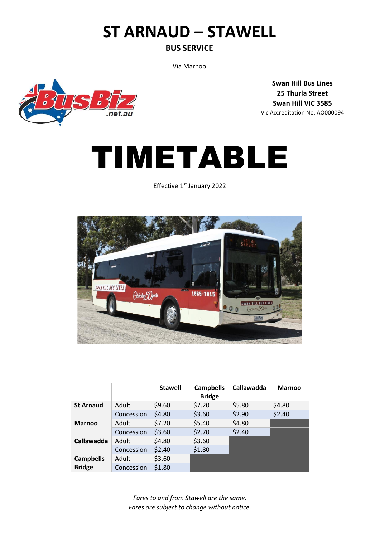# **ST ARNAUD – STAWELL**

### **BUS SERVICE**

Via Marnoo

**Swan Hill Bus Lines 25 Thurla Street Swan Hill VIC 3585** Vic Accreditation No. AO000094





Effective 1<sup>st</sup> January 2022



|                                   |            | <b>Stawell</b> | <b>Campbells</b><br><b>Bridge</b> | Callawadda | <b>Marnoo</b> |
|-----------------------------------|------------|----------------|-----------------------------------|------------|---------------|
| <b>St Arnaud</b>                  | Adult      | \$9.60         | \$7.20                            | \$5.80     | \$4.80        |
|                                   | Concession | \$4.80         | \$3.60                            | \$2.90     | \$2.40        |
| <b>Marnoo</b>                     | Adult      | \$7.20         | \$5.40                            | \$4.80     |               |
|                                   | Concession | \$3.60         | \$2.70                            | \$2.40     |               |
| Callawadda                        | Adult      | \$4.80         | \$3.60                            |            |               |
|                                   | Concession | \$2.40         | \$1.80                            |            |               |
| <b>Campbells</b><br><b>Bridge</b> | Adult      | \$3.60         |                                   |            |               |
|                                   | Concession | \$1.80         |                                   |            |               |

*Fares to and from Stawell are the same. Fares are subject to change without notice.*